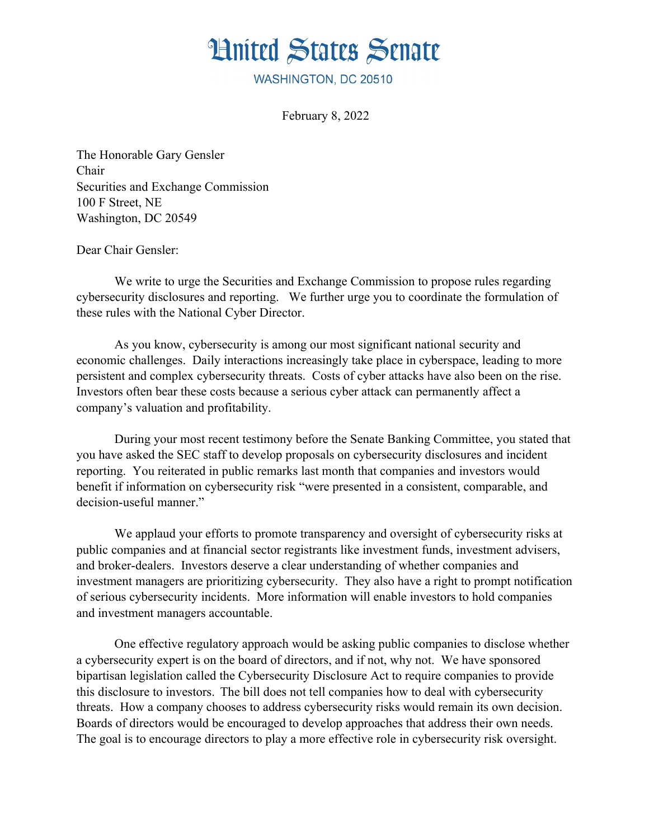

WASHINGTON, DC 20510

February 8, 2022

The Honorable Gary Gensler Chair Securities and Exchange Commission 100 F Street, NE Washington, DC 20549

Dear Chair Gensler:

We write to urge the Securities and Exchange Commission to propose rules regarding cybersecurity disclosures and reporting. We further urge you to coordinate the formulation of these rules with the National Cyber Director.

As you know, cybersecurity is among our most significant national security and economic challenges. Daily interactions increasingly take place in cyberspace, leading to more persistent and complex cybersecurity threats. Costs of cyber attacks have also been on the rise. Investors often bear these costs because a serious cyber attack can permanently affect a company's valuation and profitability.

During your most recent testimony before the Senate Banking Committee, you stated that you have asked the SEC staff to develop proposals on cybersecurity disclosures and incident reporting. You reiterated in public remarks last month that companies and investors would benefit if information on cybersecurity risk "were presented in a consistent, comparable, and decision-useful manner."

We applaud your efforts to promote transparency and oversight of cybersecurity risks at public companies and at financial sector registrants like investment funds, investment advisers, and broker-dealers. Investors deserve a clear understanding of whether companies and investment managers are prioritizing cybersecurity. They also have a right to prompt notification of serious cybersecurity incidents. More information will enable investors to hold companies and investment managers accountable.

One effective regulatory approach would be asking public companies to disclose whether a cybersecurity expert is on the board of directors, and if not, why not. We have sponsored bipartisan legislation called the Cybersecurity Disclosure Act to require companies to provide this disclosure to investors. The bill does not tell companies how to deal with cybersecurity threats. How a company chooses to address cybersecurity risks would remain its own decision. Boards of directors would be encouraged to develop approaches that address their own needs. The goal is to encourage directors to play a more effective role in cybersecurity risk oversight.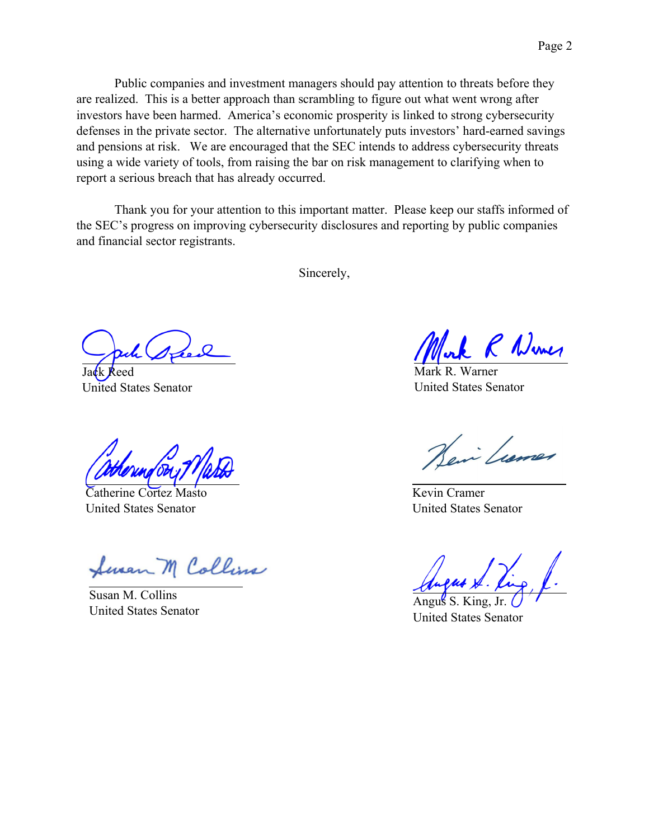defenses in the private sector. The alternative unfortunately puts investors' hard-earned savings and pensions at risk. We are encouraged that the SEC intends to address cybersecurity threats using a wide variety of tools, from raising the bar on risk management to clarifying when to report a serious breach that has already occurred.

Thank you for your attention to this important matter. Please keep our staffs informed of the SEC's progress on improving cybersecurity disclosures and reporting by public companies and financial sector registrants.

Sincerely,

Jack Reed United States Senator

Catherine Cortez Masto United States Senator

Seven M Collins

Susan M. Collins United States Senator

R Numer

Mark R. Warner United States Senator

en Lume

Kevin Cramer United States Senator

Angus  $S$ . United States Senator